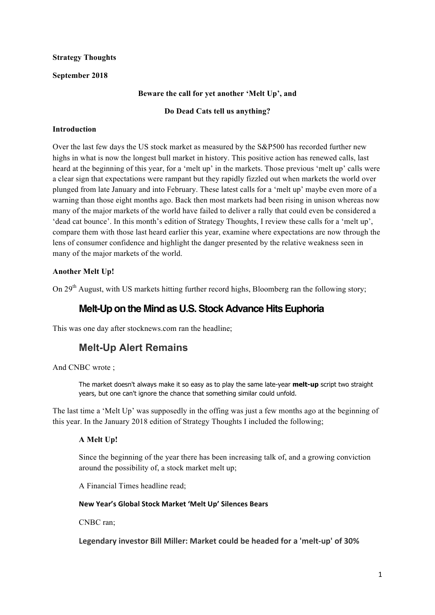## **Strategy Thoughts**

### **September 2018**

## **Beware the call for yet another 'Melt Up', and**

## **Do Dead Cats tell us anything?**

### **Introduction**

Over the last few days the US stock market as measured by the S&P500 has recorded further new highs in what is now the longest bull market in history. This positive action has renewed calls, last heard at the beginning of this year, for a 'melt up' in the markets. Those previous 'melt up' calls were a clear sign that expectations were rampant but they rapidly fizzled out when markets the world over plunged from late January and into February. These latest calls for a 'melt up' maybe even more of a warning than those eight months ago. Back then most markets had been rising in unison whereas now many of the major markets of the world have failed to deliver a rally that could even be considered a 'dead cat bounce'. In this month's edition of Strategy Thoughts, I review these calls for a 'melt up', compare them with those last heard earlier this year, examine where expectations are now through the lens of consumer confidence and highlight the danger presented by the relative weakness seen in many of the major markets of the world.

## **Another Melt Up!**

On 29<sup>th</sup> August, with US markets hitting further record highs, Bloomberg ran the following story;

## **Melt-Up on the Mind as U.S. Stock Advance Hits Euphoria**

This was one day after stocknews.com ran the headline;

# **Melt-Up Alert Remains**

And CNBC wrote ;

The market doesn't always make it so easy as to play the same late-year **melt-up** script two straight years, but one can't ignore the chance that something similar could unfold.

The last time a 'Melt Up' was supposedly in the offing was just a few months ago at the beginning of this year. In the January 2018 edition of Strategy Thoughts I included the following;

## **A Melt Up!**

Since the beginning of the year there has been increasing talk of, and a growing conviction around the possibility of, a stock market melt up;

A Financial Times headline read;

### **New Year's Global Stock Market 'Melt Up' Silences Bears**

CNBC ran;

Legendary investor Bill Miller: Market could be headed for a 'melt-up' of 30%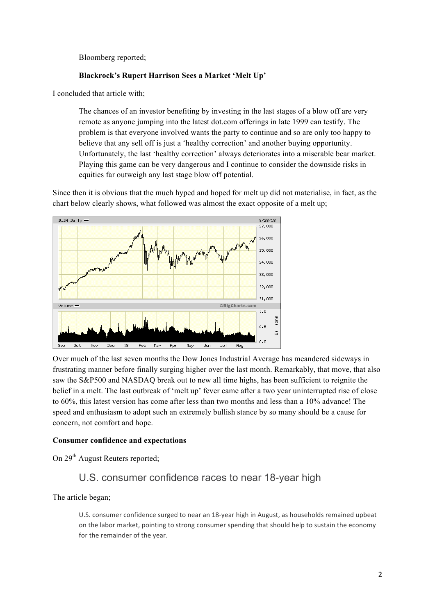Bloomberg reported;

### **Blackrock's Rupert Harrison Sees a Market 'Melt Up'**

I concluded that article with;

The chances of an investor benefiting by investing in the last stages of a blow off are very remote as anyone jumping into the latest dot.com offerings in late 1999 can testify. The problem is that everyone involved wants the party to continue and so are only too happy to believe that any sell off is just a 'healthy correction' and another buying opportunity. Unfortunately, the last 'healthy correction' always deteriorates into a miserable bear market. Playing this game can be very dangerous and I continue to consider the downside risks in equities far outweigh any last stage blow off potential.

Since then it is obvious that the much hyped and hoped for melt up did not materialise, in fact, as the chart below clearly shows, what followed was almost the exact opposite of a melt up;



Over much of the last seven months the Dow Jones Industrial Average has meandered sideways in frustrating manner before finally surging higher over the last month. Remarkably, that move, that also saw the S&P500 and NASDAQ break out to new all time highs, has been sufficient to reignite the belief in a melt. The last outbreak of 'melt up' fever came after a two year uninterrupted rise of close to 60%, this latest version has come after less than two months and less than a 10% advance! The speed and enthusiasm to adopt such an extremely bullish stance by so many should be a cause for concern, not comfort and hope.

### **Consumer confidence and expectations**

On 29<sup>th</sup> August Reuters reported;

## U.S. consumer confidence races to near 18-year high

The article began;

U.S. consumer confidence surged to near an 18-year high in August, as households remained upbeat on the labor market, pointing to strong consumer spending that should help to sustain the economy for the remainder of the year.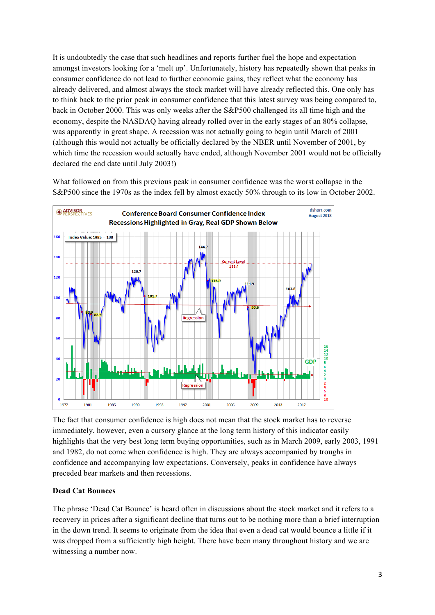It is undoubtedly the case that such headlines and reports further fuel the hope and expectation amongst investors looking for a 'melt up'. Unfortunately, history has repeatedly shown that peaks in consumer confidence do not lead to further economic gains, they reflect what the economy has already delivered, and almost always the stock market will have already reflected this. One only has to think back to the prior peak in consumer confidence that this latest survey was being compared to, back in October 2000. This was only weeks after the S&P500 challenged its all time high and the economy, despite the NASDAQ having already rolled over in the early stages of an 80% collapse, was apparently in great shape. A recession was not actually going to begin until March of 2001 (although this would not actually be officially declared by the NBER until November of 2001, by which time the recession would actually have ended, although November 2001 would not be officially declared the end date until July 2003!)

What followed on from this previous peak in consumer confidence was the worst collapse in the S&P500 since the 1970s as the index fell by almost exactly 50% through to its low in October 2002.



The fact that consumer confidence is high does not mean that the stock market has to reverse immediately, however, even a cursory glance at the long term history of this indicator easily highlights that the very best long term buying opportunities, such as in March 2009, early 2003, 1991 and 1982, do not come when confidence is high. They are always accompanied by troughs in confidence and accompanying low expectations. Conversely, peaks in confidence have always preceded bear markets and then recessions.

### **Dead Cat Bounces**

The phrase 'Dead Cat Bounce' is heard often in discussions about the stock market and it refers to a recovery in prices after a significant decline that turns out to be nothing more than a brief interruption in the down trend. It seems to originate from the idea that even a dead cat would bounce a little if it was dropped from a sufficiently high height. There have been many throughout history and we are witnessing a number now.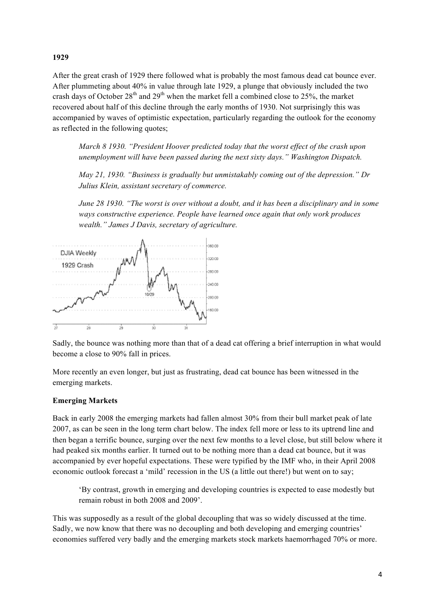### **1929**

After the great crash of 1929 there followed what is probably the most famous dead cat bounce ever. After plummeting about 40% in value through late 1929, a plunge that obviously included the two crash days of October  $28<sup>th</sup>$  and  $29<sup>th</sup>$  when the market fell a combined close to 25%, the market recovered about half of this decline through the early months of 1930. Not surprisingly this was accompanied by waves of optimistic expectation, particularly regarding the outlook for the economy as reflected in the following quotes;

*March 8 1930. "President Hoover predicted today that the worst effect of the crash upon unemployment will have been passed during the next sixty days." Washington Dispatch.*

*May 21, 1930. "Business is gradually but unmistakably coming out of the depression." Dr Julius Klein, assistant secretary of commerce.*

*June 28 1930. "The worst is over without a doubt, and it has been a disciplinary and in some ways constructive experience. People have learned once again that only work produces wealth." James J Davis, secretary of agriculture.*



Sadly, the bounce was nothing more than that of a dead cat offering a brief interruption in what would become a close to 90% fall in prices.

More recently an even longer, but just as frustrating, dead cat bounce has been witnessed in the emerging markets.

### **Emerging Markets**

Back in early 2008 the emerging markets had fallen almost 30% from their bull market peak of late 2007, as can be seen in the long term chart below. The index fell more or less to its uptrend line and then began a terrific bounce, surging over the next few months to a level close, but still below where it had peaked six months earlier. It turned out to be nothing more than a dead cat bounce, but it was accompanied by ever hopeful expectations. These were typified by the IMF who, in their April 2008 economic outlook forecast a 'mild' recession in the US (a little out there!) but went on to say;

'By contrast, growth in emerging and developing countries is expected to ease modestly but remain robust in both 2008 and 2009'.

This was supposedly as a result of the global decoupling that was so widely discussed at the time. Sadly, we now know that there was no decoupling and both developing and emerging countries' economies suffered very badly and the emerging markets stock markets haemorrhaged 70% or more.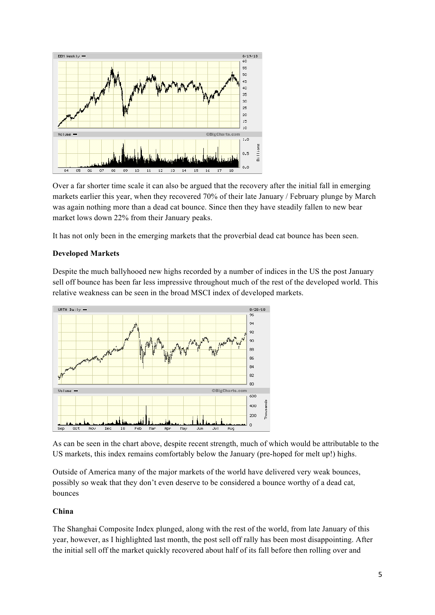

Over a far shorter time scale it can also be argued that the recovery after the initial fall in emerging markets earlier this year, when they recovered 70% of their late January / February plunge by March was again nothing more than a dead cat bounce. Since then they have steadily fallen to new bear market lows down 22% from their January peaks.

It has not only been in the emerging markets that the proverbial dead cat bounce has been seen.

### **Developed Markets**

Despite the much ballyhooed new highs recorded by a number of indices in the US the post January sell off bounce has been far less impressive throughout much of the rest of the developed world. This relative weakness can be seen in the broad MSCI index of developed markets.



As can be seen in the chart above, despite recent strength, much of which would be attributable to the US markets, this index remains comfortably below the January (pre-hoped for melt up!) highs.

Outside of America many of the major markets of the world have delivered very weak bounces, possibly so weak that they don't even deserve to be considered a bounce worthy of a dead cat, bounces

## **China**

The Shanghai Composite Index plunged, along with the rest of the world, from late January of this year, however, as I highlighted last month, the post sell off rally has been most disappointing. After the initial sell off the market quickly recovered about half of its fall before then rolling over and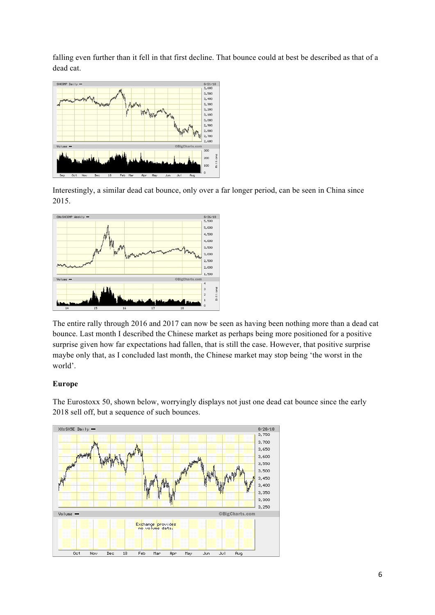falling even further than it fell in that first decline. That bounce could at best be described as that of a dead cat.



Interestingly, a similar dead cat bounce, only over a far longer period, can be seen in China since 2015.



The entire rally through 2016 and 2017 can now be seen as having been nothing more than a dead cat bounce. Last month I described the Chinese market as perhaps being more positioned for a positive surprise given how far expectations had fallen, that is still the case. However, that positive surprise maybe only that, as I concluded last month, the Chinese market may stop being 'the worst in the world'.

## **Europe**

The Eurostoxx 50, shown below, worryingly displays not just one dead cat bounce since the early 2018 sell off, but a sequence of such bounces.

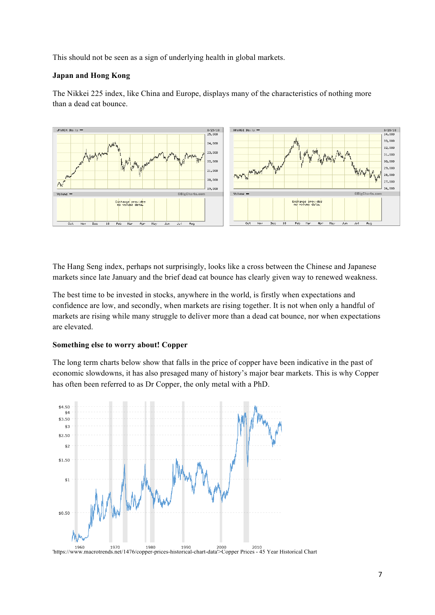This should not be seen as a sign of underlying health in global markets.

## **Japan and Hong Kong**

The Nikkei 225 index, like China and Europe, displays many of the characteristics of nothing more than a dead cat bounce.



The Hang Seng index, perhaps not surprisingly, looks like a cross between the Chinese and Japanese markets since late January and the brief dead cat bounce has clearly given way to renewed weakness.

The best time to be invested in stocks, anywhere in the world, is firstly when expectations and confidence are low, and secondly, when markets are rising together. It is not when only a handful of markets are rising while many struggle to deliver more than a dead cat bounce, nor when expectations are elevated.

### **Something else to worry about! Copper**

The long term charts below show that falls in the price of copper have been indicative in the past of economic slowdowns, it has also presaged many of history's major bear markets. This is why Copper has often been referred to as Dr Copper, the only metal with a PhD.

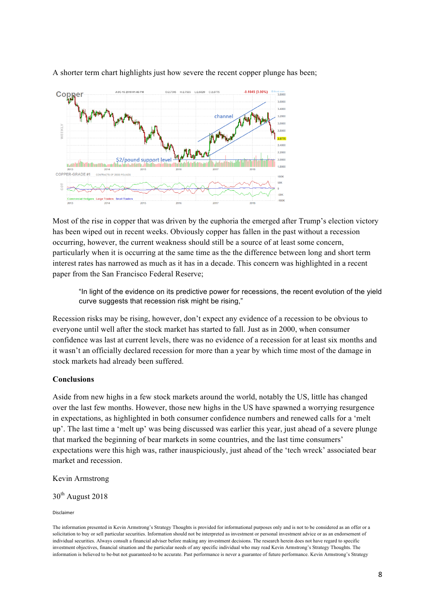

A shorter term chart highlights just how severe the recent copper plunge has been;

Most of the rise in copper that was driven by the euphoria the emerged after Trump's election victory has been wiped out in recent weeks. Obviously copper has fallen in the past without a recession occurring, however, the current weakness should still be a source of at least some concern, particularly when it is occurring at the same time as the the difference between long and short term interest rates has narrowed as much as it has in a decade. This concern was highlighted in a recent paper from the San Francisco Federal Reserve;

"In light of the evidence on its predictive power for recessions, the recent evolution of the yield curve suggests that recession risk might be rising,"

Recession risks may be rising, however, don't expect any evidence of a recession to be obvious to everyone until well after the stock market has started to fall. Just as in 2000, when consumer confidence was last at current levels, there was no evidence of a recession for at least six months and it wasn't an officially declared recession for more than a year by which time most of the damage in stock markets had already been suffered.

### **Conclusions**

Aside from new highs in a few stock markets around the world, notably the US, little has changed over the last few months. However, those new highs in the US have spawned a worrying resurgence in expectations, as highlighted in both consumer confidence numbers and renewed calls for a 'melt up'. The last time a 'melt up' was being discussed was earlier this year, just ahead of a severe plunge that marked the beginning of bear markets in some countries, and the last time consumers' expectations were this high was, rather inauspiciously, just ahead of the 'tech wreck' associated bear market and recession.

Kevin Armstrong

## 30<sup>th</sup> August 2018

Disclaimer 

The information presented in Kevin Armstrong's Strategy Thoughts is provided for informational purposes only and is not to be considered as an offer or a solicitation to buy or sell particular securities. Information should not be interpreted as investment or personal investment advice or as an endorsement of individual securities. Always consult a financial adviser before making any investment decisions. The research herein does not have regard to specific investment objectives, financial situation and the particular needs of any specific individual who may read Kevin Armstrong's Strategy Thoughts. The information is believed to be-but not guaranteed-to be accurate. Past performance is never a guarantee of future performance. Kevin Armstrong's Strategy